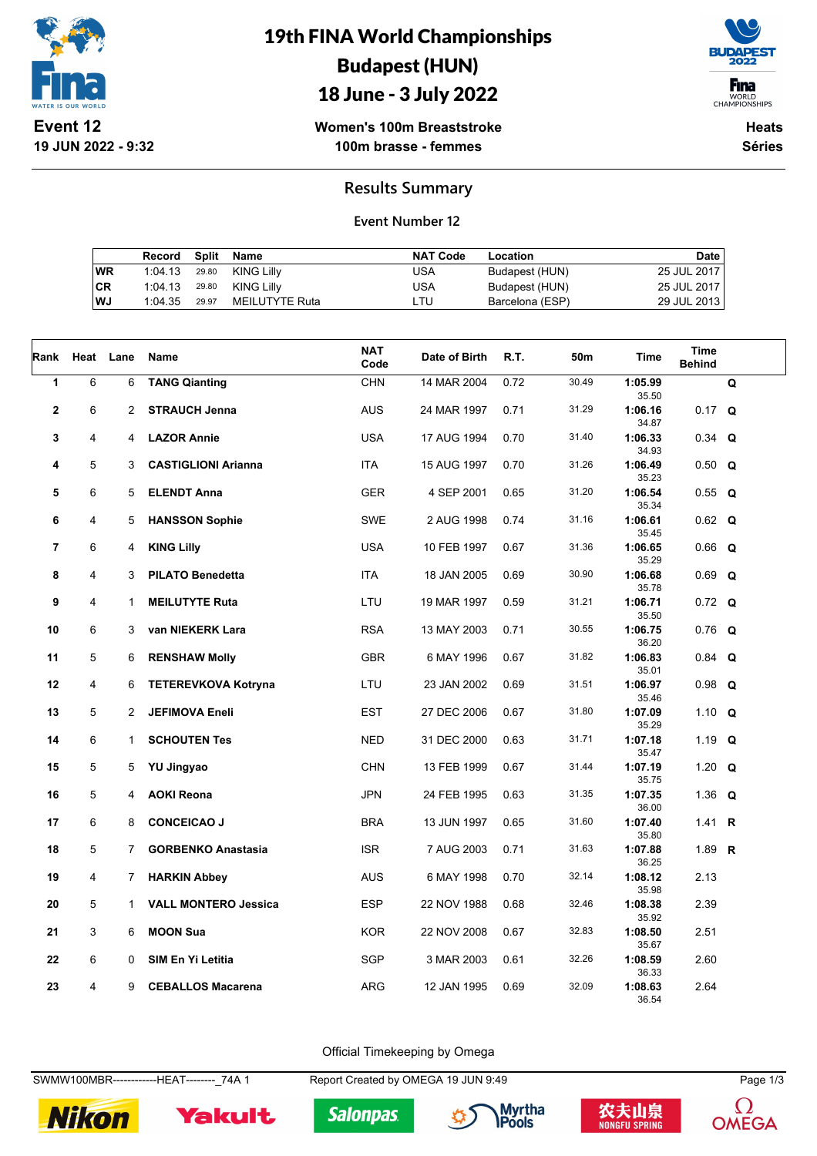

## 19th FINA World Championships Budapest (HUN)

### 18 June - 3 July 2022



**Women's 100m Breaststroke 100m brasse - femmes**

**Heats Séries**

#### **Results Summary**

#### **Event Number 12**

|    | Record Split Name |                | NAT Code | Location        | Date        |
|----|-------------------|----------------|----------|-----------------|-------------|
| WR | 1:04.13 29.80     | KING Lilly     | USA      | Budapest (HUN)  | 25 JUL 2017 |
| CR | 1:04.13 29.80     | KING Lillv     | USA      | Budapest (HUN)  | 25 JUL 2017 |
| WJ | 1:04.35 29.97     | MEILUTYTE Ruta | LTU      | Barcelona (ESP) | 29 JUL 2013 |

| Rank                    | Heat | Lane           | Name                        | <b>NAT</b><br>Code | Date of Birth | R.T. | 50m   | <b>Time</b>      | Time<br><b>Behind</b> |             |
|-------------------------|------|----------------|-----------------------------|--------------------|---------------|------|-------|------------------|-----------------------|-------------|
| $\mathbf{1}$            | 6    | 6              | <b>TANG Qianting</b>        | CHN                | 14 MAR 2004   | 0.72 | 30.49 | 1:05.99<br>35.50 |                       | $\mathbf Q$ |
| $\overline{\mathbf{2}}$ | 6    | $\overline{2}$ | <b>STRAUCH Jenna</b>        | <b>AUS</b>         | 24 MAR 1997   | 0.71 | 31.29 | 1:06.16<br>34.87 | $0.17$ Q              |             |
| 3                       | 4    | $\overline{4}$ | <b>LAZOR Annie</b>          | <b>USA</b>         | 17 AUG 1994   | 0.70 | 31.40 | 1:06.33<br>34.93 | $0.34$ Q              |             |
| 4                       | 5    | 3              | <b>CASTIGLIONI Arianna</b>  | <b>ITA</b>         | 15 AUG 1997   | 0.70 | 31.26 | 1:06.49<br>35.23 | $0.50$ Q              |             |
| 5                       | 6    | 5              | <b>ELENDT Anna</b>          | <b>GER</b>         | 4 SEP 2001    | 0.65 | 31.20 | 1:06.54<br>35.34 | $0.55$ Q              |             |
| 6                       | 4    | 5              | <b>HANSSON Sophie</b>       | <b>SWE</b>         | 2 AUG 1998    | 0.74 | 31.16 | 1:06.61<br>35.45 | $0.62$ Q              |             |
| $\overline{7}$          | 6    | 4              | <b>KING Lilly</b>           | <b>USA</b>         | 10 FEB 1997   | 0.67 | 31.36 | 1:06.65<br>35.29 | $0.66$ Q              |             |
| 8                       | 4    | 3              | <b>PILATO Benedetta</b>     | ITA                | 18 JAN 2005   | 0.69 | 30.90 | 1:06.68<br>35.78 | $0.69$ Q              |             |
| 9                       | 4    | $\mathbf{1}$   | <b>MEILUTYTE Ruta</b>       | LTU                | 19 MAR 1997   | 0.59 | 31.21 | 1:06.71<br>35.50 | $0.72$ Q              |             |
| 10                      | 6    | 3              | van NIEKERK Lara            | <b>RSA</b>         | 13 MAY 2003   | 0.71 | 30.55 | 1:06.75<br>36.20 | $0.76$ Q              |             |
| 11                      | 5    | 6              | <b>RENSHAW Molly</b>        | <b>GBR</b>         | 6 MAY 1996    | 0.67 | 31.82 | 1:06.83<br>35.01 | $0.84$ Q              |             |
| 12                      | 4    | 6              | <b>TETEREVKOVA Kotryna</b>  | LTU                | 23 JAN 2002   | 0.69 | 31.51 | 1:06.97<br>35.46 | $0.98$ Q              |             |
| 13                      | 5    | $\overline{2}$ | <b>JEFIMOVA Eneli</b>       | <b>EST</b>         | 27 DEC 2006   | 0.67 | 31.80 | 1:07.09<br>35.29 | 1.10 $Q$              |             |
| 14                      | 6    | $\mathbf{1}$   | <b>SCHOUTEN Tes</b>         | <b>NED</b>         | 31 DEC 2000   | 0.63 | 31.71 | 1:07.18<br>35.47 | 1.19 $Q$              |             |
| 15                      | 5    | 5              | <b>YU Jingyao</b>           | <b>CHN</b>         | 13 FEB 1999   | 0.67 | 31.44 | 1:07.19<br>35.75 | 1.20 $Q$              |             |
| 16                      | 5    | 4              | <b>AOKI Reona</b>           | <b>JPN</b>         | 24 FEB 1995   | 0.63 | 31.35 | 1:07.35<br>36.00 | 1.36 $Q$              |             |
| 17                      | 6    | 8              | <b>CONCEICAO J</b>          | <b>BRA</b>         | 13 JUN 1997   | 0.65 | 31.60 | 1:07.40<br>35.80 | 1.41 <b>R</b>         |             |
| 18                      | 5    | $\overline{7}$ | <b>GORBENKO Anastasia</b>   | <b>ISR</b>         | 7 AUG 2003    | 0.71 | 31.63 | 1:07.88<br>36.25 | 1.89 $R$              |             |
| 19                      | 4    | $\overline{7}$ | <b>HARKIN Abbey</b>         | <b>AUS</b>         | 6 MAY 1998    | 0.70 | 32.14 | 1:08.12<br>35.98 | 2.13                  |             |
| 20                      | 5    | $\mathbf{1}$   | <b>VALL MONTERO Jessica</b> | <b>ESP</b>         | 22 NOV 1988   | 0.68 | 32.46 | 1:08.38<br>35.92 | 2.39                  |             |
| 21                      | 3    | 6              | <b>MOON Sua</b>             | <b>KOR</b>         | 22 NOV 2008   | 0.67 | 32.83 | 1:08.50<br>35.67 | 2.51                  |             |
| 22                      | 6    | 0              | SIM En Yi Letitia           | <b>SGP</b>         | 3 MAR 2003    | 0.61 | 32.26 | 1:08.59<br>36.33 | 2.60                  |             |
| 23                      | 4    | 9              | <b>CEBALLOS Macarena</b>    | <b>ARG</b>         | 12 JAN 1995   | 0.69 | 32.09 | 1:08.63<br>36.54 | 2.64                  |             |

Official Timekeeping by Omega

SWMW100MBR-------------HEAT--------\_74A 1 Report Created by OMEGA 19 JUN 9:49 Page 1/3



Yakult





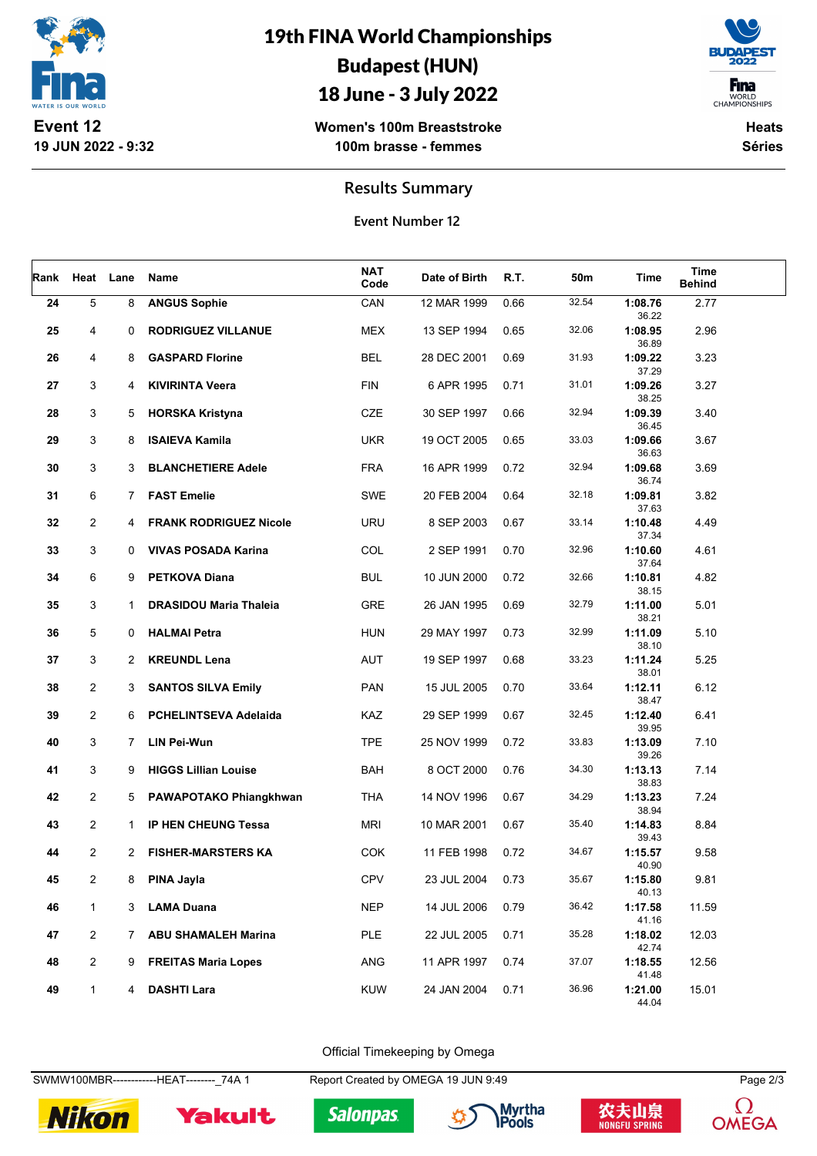

# 19th FINA World Championships Budapest (HUN)

### 18 June - 3 July 2022





**Heats Séries**

**Results Summary**

**Event Number 12**

| Rank | Heat           | Lane         | Name                          | <b>NAT</b><br>Code | Date of Birth | R.T. | 50m   | Time                      | Time<br><b>Behind</b> |  |
|------|----------------|--------------|-------------------------------|--------------------|---------------|------|-------|---------------------------|-----------------------|--|
| 24   | 5              | 8            | <b>ANGUS Sophie</b>           | CAN                | 12 MAR 1999   | 0.66 | 32.54 | 1:08.76<br>36.22          | 2.77                  |  |
| 25   | 4              | 0            | <b>RODRIGUEZ VILLANUE</b>     | <b>MEX</b>         | 13 SEP 1994   | 0.65 | 32.06 | 1:08.95<br>36.89          | 2.96                  |  |
| 26   | 4              | 8            | <b>GASPARD Florine</b>        | <b>BEL</b>         | 28 DEC 2001   | 0.69 | 31.93 | 1:09.22<br>37.29          | 3.23                  |  |
| 27   | 3              | 4            | <b>KIVIRINTA Veera</b>        | <b>FIN</b>         | 6 APR 1995    | 0.71 | 31.01 | 1:09.26<br>38.25          | 3.27                  |  |
| 28   | 3              | 5            | <b>HORSKA Kristyna</b>        | <b>CZE</b>         | 30 SEP 1997   | 0.66 | 32.94 | 1:09.39<br>36.45          | 3.40                  |  |
| 29   | 3              | 8            | <b>ISAIEVA Kamila</b>         | <b>UKR</b>         | 19 OCT 2005   | 0.65 | 33.03 | 1:09.66                   | 3.67                  |  |
| 30   | 3              | 3            | <b>BLANCHETIERE Adele</b>     | <b>FRA</b>         | 16 APR 1999   | 0.72 | 32.94 | 36.63<br>1:09.68          | 3.69                  |  |
| 31   | 6              | 7            | <b>FAST Emelie</b>            | <b>SWE</b>         | 20 FEB 2004   | 0.64 | 32.18 | 36.74<br>1:09.81          | 3.82                  |  |
| 32   | $\overline{2}$ | 4            | <b>FRANK RODRIGUEZ Nicole</b> | <b>URU</b>         | 8 SEP 2003    | 0.67 | 33.14 | 37.63<br>1:10.48          | 4.49                  |  |
| 33   | 3              | 0            | <b>VIVAS POSADA Karina</b>    | COL                | 2 SEP 1991    | 0.70 | 32.96 | 37.34<br>1:10.60          | 4.61                  |  |
| 34   | 6              | 9            | <b>PETKOVA Diana</b>          | <b>BUL</b>         | 10 JUN 2000   | 0.72 | 32.66 | 37.64<br>1:10.81          | 4.82                  |  |
| 35   | 3              | 1            | <b>DRASIDOU Maria Thaleia</b> | GRE                | 26 JAN 1995   | 0.69 | 32.79 | 38.15<br>1:11.00          | 5.01                  |  |
| 36   | 5              | 0            | <b>HALMAI Petra</b>           | <b>HUN</b>         | 29 MAY 1997   | 0.73 | 32.99 | 38.21<br>1:11.09          | 5.10                  |  |
| 37   | 3              | 2            | <b>KREUNDL Lena</b>           | AUT                | 19 SEP 1997   | 0.68 | 33.23 | 38.10<br>1:11.24          | 5.25                  |  |
| 38   | $\overline{2}$ | 3            | <b>SANTOS SILVA Emily</b>     | <b>PAN</b>         | 15 JUL 2005   | 0.70 | 33.64 | 38.01<br>1:12.11          | 6.12                  |  |
| 39   | 2              | 6            | <b>PCHELINTSEVA Adelaida</b>  | KAZ                | 29 SEP 1999   | 0.67 | 32.45 | 38.47<br>1:12.40          | 6.41                  |  |
| 40   | 3              | 7            | LIN Pei-Wun                   | <b>TPE</b>         | 25 NOV 1999   | 0.72 | 33.83 | 39.95<br>1:13.09          | 7.10                  |  |
| 41   | 3              | 9            | <b>HIGGS Lillian Louise</b>   | <b>BAH</b>         | 8 OCT 2000    | 0.76 | 34.30 | 39.26<br>1:13.13          | 7.14                  |  |
| 42   | 2              | 5            | PAWAPOTAKO Phiangkhwan        | <b>THA</b>         | 14 NOV 1996   | 0.67 | 34.29 | 38.83<br>1:13.23          | 7.24                  |  |
| 43   | 2              | $\mathbf{1}$ | <b>IP HEN CHEUNG Tessa</b>    | <b>MRI</b>         | 10 MAR 2001   | 0.67 | 35.40 | 38.94<br>1:14.83          | 8.84                  |  |
| 44   | 2              | 2            | <b>FISHER-MARSTERS KA</b>     | <b>COK</b>         | 11 FEB 1998   | 0.72 | 34.67 | 39.43<br>1:15.57          | 9.58                  |  |
| 45   | 2              | 8            | PINA Jayla                    | <b>CPV</b>         | 23 JUL 2004   | 0.73 | 35.67 | 40.90<br>1:15.80          | 9.81                  |  |
| 46   | $\mathbf{1}$   | 3            | <b>LAMA Duana</b>             | <b>NEP</b>         | 14 JUL 2006   | 0.79 | 36.42 | 40.13<br>1:17.58          | 11.59                 |  |
| 47   | $\overline{2}$ | $7^{\circ}$  | <b>ABU SHAMALEH Marina</b>    | PLE                | 22 JUL 2005   | 0.71 | 35.28 | 41.16<br>1:18.02          | 12.03                 |  |
| 48   | $\overline{c}$ | 9            | <b>FREITAS Maria Lopes</b>    | ANG                | 11 APR 1997   | 0.74 | 37.07 | 42.74<br>1:18.55          | 12.56                 |  |
| 49   | $\mathbf{1}$   | 4            | <b>DASHTI Lara</b>            | <b>KUW</b>         | 24 JAN 2004   | 0.71 | 36.96 | 41.48<br>1:21.00<br>44 04 | 15.01                 |  |

Official Timekeeping by Omega

SWMW100MBR-------------HEAT--------\_74A 1 Report Created by OMEGA 19 JUN 9:49 Page 2/3



Yakult